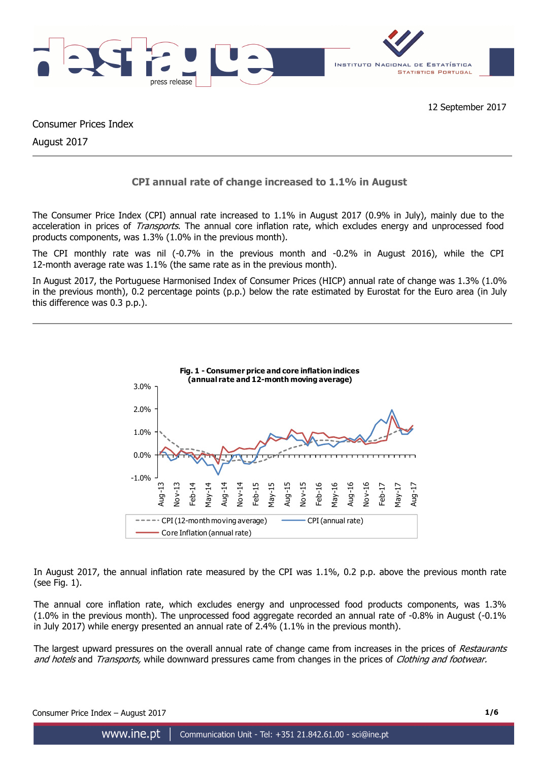

Consumer Prices Index

August 2017

# **CPI annual rate of change increased to 1.1% in August**

The Consumer Price Index (CPI) annual rate increased to 1.1% in August 2017 (0.9% in July), mainly due to the acceleration in prices of *Transports*. The annual core inflation rate, which excludes energy and unprocessed food products components, was 1.3% (1.0% in the previous month).

The CPI monthly rate was nil (-0.7% in the previous month and -0.2% in August 2016), while the CPI 12-month average rate was 1.1% (the same rate as in the previous month).

In August 2017, the Portuguese Harmonised Index of Consumer Prices (HICP) annual rate of change was 1.3% (1.0% in the previous month), 0.2 percentage points (p.p.) below the rate estimated by Eurostat for the Euro area (in July this difference was 0.3 p.p.).



In August 2017, the annual inflation rate measured by the CPI was 1.1%, 0.2 p.p. above the previous month rate (see Fig. 1).

The annual core inflation rate, which excludes energy and unprocessed food products components, was 1.3% (1.0% in the previous month). The unprocessed food aggregate recorded an annual rate of -0.8% in August (-0.1% in July 2017) while energy presented an annual rate of 2.4% (1.1% in the previous month).

The largest upward pressures on the overall annual rate of change came from increases in the prices of Restaurants and hotels and Transports, while downward pressures came from changes in the prices of Clothing and footwear.

Consumer Price Index – August 2017 **1/6**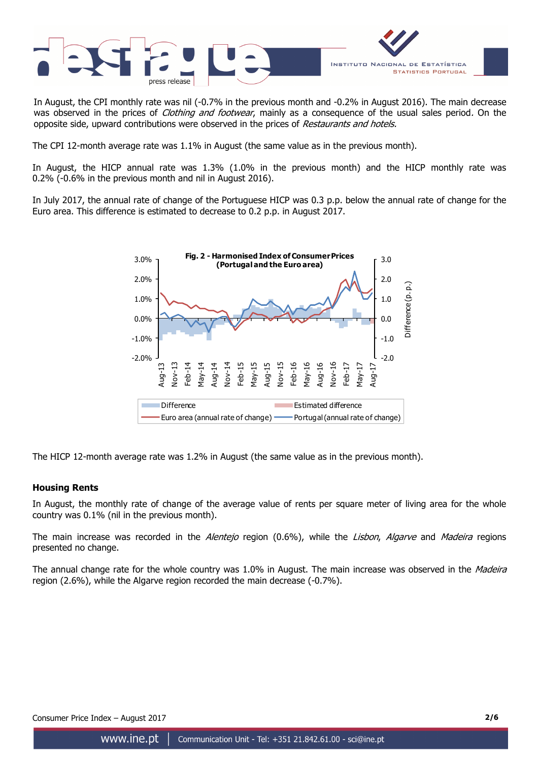

In August, the CPI monthly rate was nil (-0.7% in the previous month and -0.2% in August 2016). The main decrease was observed in the prices of *Clothing and footwear*, mainly as a consequence of the usual sales period. On the opposite side, upward contributions were observed in the prices of Restaurants and hotels.

The CPI 12-month average rate was 1.1% in August (the same value as in the previous month).

In August, the HICP annual rate was 1.3% (1.0% in the previous month) and the HICP monthly rate was 0.2% (-0.6% in the previous month and nil in August 2016).

In July 2017, the annual rate of change of the Portuguese HICP was 0.3 p.p. below the annual rate of change for the Euro area. This difference is estimated to decrease to 0.2 p.p. in August 2017.



The HICP 12-month average rate was 1.2% in August (the same value as in the previous month).

# **Housing Rents**

In August, the monthly rate of change of the average value of rents per square meter of living area for the whole country was 0.1% (nil in the previous month).

The main increase was recorded in the Alentejo region (0.6%), while the Lisbon, Algarve and Madeira regions presented no change.

The annual change rate for the whole country was 1.0% in August. The main increase was observed in the Madeira region (2.6%), while the Algarve region recorded the main decrease (-0.7%).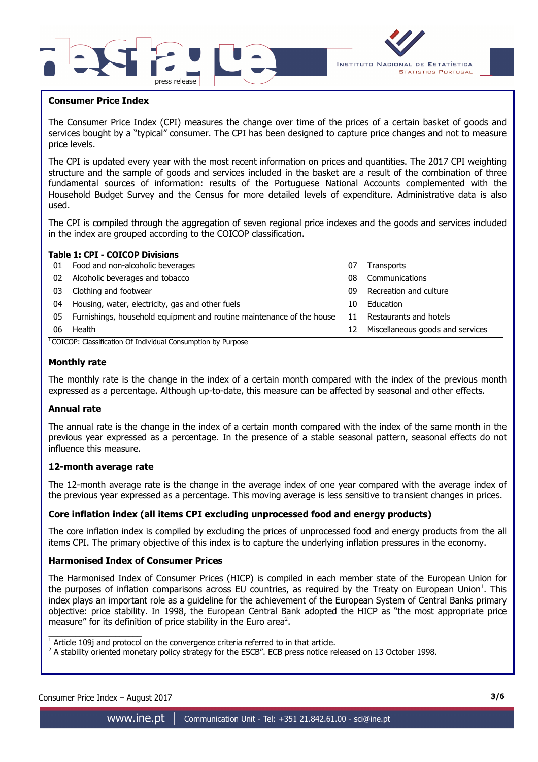



### **Consumer Price Index**

I

The Consumer Price Index (CPI) measures the change over time of the prices of a certain basket of goods and services bought by a "typical" consumer. The CPI has been designed to capture price changes and not to measure price levels.

The CPI is updated every year with the most recent information on prices and quantities. The 2017 CPI weighting structure and the sample of goods and services included in the basket are a result of the combination of three fundamental sources of information: results of the Portuguese National Accounts complemented with the Household Budget Survey and the Census for more detailed levels of expenditure. Administrative data is also used.

The CPI is compiled through the aggregation of seven regional price indexes and the goods and services included in the index are grouped according to the COICOP classification.

| <b>Table 1: CPI - COICOP Divisions</b> |                                                                       |    |                                  |  |  |  |  |  |  |  |  |  |  |
|----------------------------------------|-----------------------------------------------------------------------|----|----------------------------------|--|--|--|--|--|--|--|--|--|--|
| 01                                     | Food and non-alcoholic beverages                                      | 07 | Transports                       |  |  |  |  |  |  |  |  |  |  |
| 02                                     | Alcoholic beverages and tobacco                                       | 08 | Communications                   |  |  |  |  |  |  |  |  |  |  |
| 03                                     | Clothing and footwear                                                 | 09 | Recreation and culture           |  |  |  |  |  |  |  |  |  |  |
| 04                                     | Housing, water, electricity, gas and other fuels                      | 10 | Education                        |  |  |  |  |  |  |  |  |  |  |
| 05                                     | Furnishings, household equipment and routine maintenance of the house | 11 | Restaurants and hotels           |  |  |  |  |  |  |  |  |  |  |
| 06                                     | Health                                                                | 12 | Miscellaneous goods and services |  |  |  |  |  |  |  |  |  |  |

#### <sup>1</sup>COICOP: Classification Of Individual Consumption by Purpose

#### **Monthly rate**

The monthly rate is the change in the index of a certain month compared with the index of the previous month expressed as a percentage. Although up-to-date, this measure can be affected by seasonal and other effects.

#### **Annual rate**

The annual rate is the change in the index of a certain month compared with the index of the same month in the previous year expressed as a percentage. In the presence of a stable seasonal pattern, seasonal effects do not influence this measure.

#### **12-month average rate**

The 12-month average rate is the change in the average index of one year compared with the average index of the previous year expressed as a percentage. This moving average is less sensitive to transient changes in prices.

#### **Core inflation index (all items CPI excluding unprocessed food and energy products)**

The core inflation index is compiled by excluding the prices of unprocessed food and energy products from the all items CPI. The primary objective of this index is to capture the underlying inflation pressures in the economy.

#### **Harmonised Index of Consumer Prices**

The Harmonised Index of Consumer Prices (HICP) is compiled in each member state of the European Union for the purposes of inflation comparisons across EU countries, as required by the Treaty on European Union<sup>1</sup>. This index plays an important role as a guideline for the achievement of the European System of Central Banks primary objective: price stability. In 1998, the European Central Bank adopted the HICP as "the most appropriate price measure" for its definition of price stability in the Euro area<sup>2</sup>.

 $\overline{\phantom{a}}$  , and the set of the set of the set of the set of the set of the set of the set of the set of the set of the set of the set of the set of the set of the set of the set of the set of the set of the set of the s

 $1$  Article 109j and protocol on the convergence criteria referred to in that article.

 $^2$  A stability oriented monetary policy strategy for the ESCB". ECB press notice released on 13 October 1998.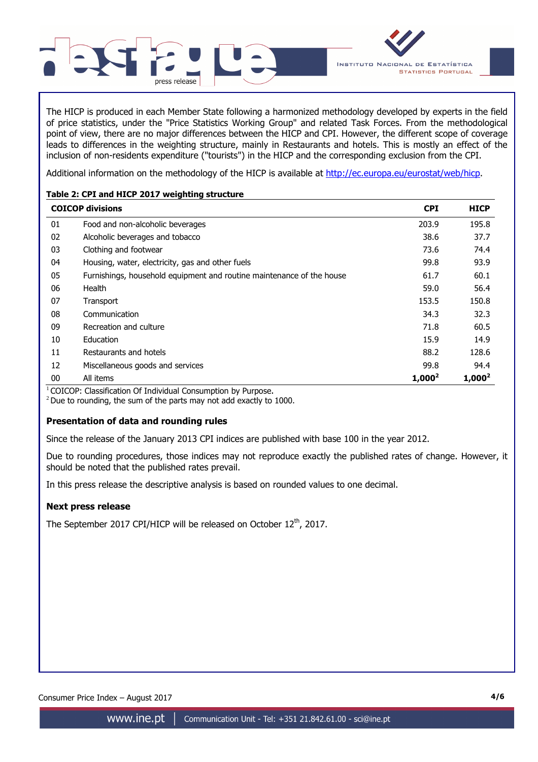

The HICP is produced in each Member State following a harmonized methodology developed by experts in the field of price statistics, under the "Price Statistics Working Group" and related Task Forces. From the methodological point of view, there are no major differences between the HICP and CPI. However, the different scope of coverage leads to differences in the weighting structure, mainly in Restaurants and hotels. This is mostly an effect of the inclusion of non-residents expenditure ("tourists") in the HICP and the corresponding exclusion from the CPI.

Additional information on the methodology of the HICP is available at http://ec.europa.eu/eurostat/web/hicp.

# **Table 2: CPI and HICP 2017 weighting structure**

|        | <b>COICOP divisions</b>                                               | <b>CPI</b> | <b>HICP</b> |
|--------|-----------------------------------------------------------------------|------------|-------------|
| 01     | Food and non-alcoholic beverages                                      | 203.9      | 195.8       |
| 02     | Alcoholic beverages and tobacco                                       | 38.6       | 37.7        |
| 03     | Clothing and footwear                                                 | 73.6       | 74.4        |
| 04     | Housing, water, electricity, gas and other fuels                      | 99.8       | 93.9        |
| 05     | Furnishings, household equipment and routine maintenance of the house | 61.7       | 60.1        |
| 06     | Health                                                                | 59.0       | 56.4        |
| 07     | Transport                                                             | 153.5      | 150.8       |
| 08     | Communication                                                         | 34.3       | 32.3        |
| 09     | Recreation and culture                                                | 71.8       | 60.5        |
| 10     | Education                                                             | 15.9       | 14.9        |
| 11     | Restaurants and hotels                                                | 88.2       | 128.6       |
| 12     | Miscellaneous goods and services                                      | 99.8       | 94.4        |
| $00\,$ | All items                                                             | $1,000^2$  | $1,000^2$   |

 $1$ COICOP: Classification Of Individual Consumption by Purpose.

 $2$  Due to rounding, the sum of the parts may not add exactly to 1000.

# **Presentation of data and rounding rules**

Since the release of the January 2013 CPI indices are published with base 100 in the year 2012.

Due to rounding procedures, those indices may not reproduce exactly the published rates of change. However, it should be noted that the published rates prevail.

In this press release the descriptive analysis is based on rounded values to one decimal.

# **Next press release**

The September 2017 CPI/HICP will be released on October 12<sup>th</sup>, 2017.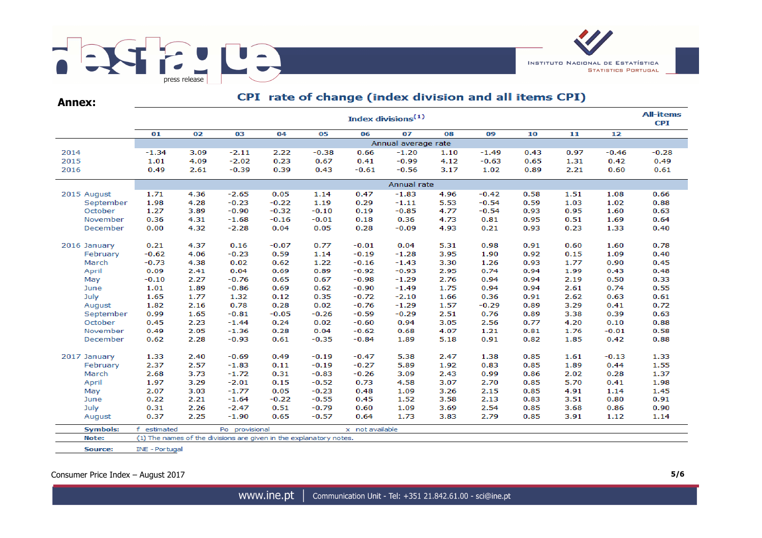

| <b>Annex:</b>   |             | Cr I Tate of Change (muck division and an items Cr I) |                                                                    |         |         |                 |         |      |         |      |      |         |         |  |  |  |
|-----------------|-------------|-------------------------------------------------------|--------------------------------------------------------------------|---------|---------|-----------------|---------|------|---------|------|------|---------|---------|--|--|--|
|                 |             | Index divisions <sup>(1)</sup>                        |                                                                    |         |         |                 |         |      |         |      |      |         |         |  |  |  |
|                 | 01          | 02                                                    | 03                                                                 | 04      | 05      | 06              | 07      | 08   | 09      | 10   | 11   | 12      |         |  |  |  |
|                 |             | Annual average rate                                   |                                                                    |         |         |                 |         |      |         |      |      |         |         |  |  |  |
| 2014            | $-1.34$     | 3.09                                                  | $-2.11$                                                            | 2.22    | $-0.38$ | 0.66            | $-1.20$ | 1.10 | $-1.49$ | 0.43 | 0.97 | $-0.46$ | $-0.28$ |  |  |  |
| 2015            | 1.01        | 4.09                                                  | $-2.02$                                                            | 0.23    | 0.67    | 0.41            | $-0.99$ | 4.12 | $-0.63$ | 0.65 | 1.31 | 0.42    | 0.49    |  |  |  |
| 2016            | 0.49        | 2.61                                                  | $-0.39$                                                            | 0.39    | 0.43    | $-0.61$         | $-0.56$ | 3.17 | 1.02    | 0.89 | 2.21 | 0.60    | 0.61    |  |  |  |
|                 |             | Annual rate                                           |                                                                    |         |         |                 |         |      |         |      |      |         |         |  |  |  |
| 2015 August     | 1.71        | 4.36                                                  | $-2.65$                                                            | 0.05    | 1.14    | 0.47            | $-1.83$ | 4.96 | $-0.42$ | 0.58 | 1.51 | 1.08    | 0.66    |  |  |  |
| September       | 1.98        | 4.28                                                  | $-0.23$                                                            | $-0.22$ | 1.19    | 0.29            | $-1.11$ | 5.53 | $-0.54$ | 0.59 | 1.03 | 1.02    | 0.88    |  |  |  |
| October         | 1.27        | 3.89                                                  | $-0.90$                                                            | $-0.32$ | $-0.10$ | 0.19            | $-0.85$ | 4.77 | $-0.54$ | 0.93 | 0.95 | 1.60    | 0.63    |  |  |  |
| November        | 0.36        | 4.31                                                  | $-1.68$                                                            | $-0.16$ | $-0.01$ | 0.18            | 0.36    | 4.73 | 0.81    | 0.95 | 0.51 | 1.69    | 0.64    |  |  |  |
| December        | 0.00        | 4.32                                                  | $-2.28$                                                            | 0.04    | 0.05    | 0.28            | $-0.09$ | 4.93 | 0.21    | 0.93 | 0.23 | 1.33    | 0.40    |  |  |  |
| 2016 January    | 0.21        | 4.37                                                  | 0.16                                                               | $-0.07$ | 0.77    | $-0.01$         | 0.04    | 5.31 | 0.98    | 0.91 | 0.60 | 1.60    | 0.78    |  |  |  |
| February        | $-0.62$     | 4.06                                                  | $-0.23$                                                            | 0.59    | 1.14    | $-0.19$         | $-1.28$ | 3.95 | 1.90    | 0.92 | 0.15 | 1.09    | 0.40    |  |  |  |
| March           | $-0.73$     | 4.38                                                  | 0.02                                                               | 0.62    | 1.22    | $-0.16$         | $-1.43$ | 3.30 | 1.26    | 0.93 | 1.77 | 0.90    | 0.45    |  |  |  |
| April           | 0.09        | 2.41                                                  | 0.04                                                               | 0.69    | 0.89    | $-0.92$         | $-0.93$ | 2.95 | 0.74    | 0.94 | 1.99 | 0.43    | 0.48    |  |  |  |
| May             | $-0.10$     | 2.27                                                  | $-0.76$                                                            | 0.65    | 0.67    | $-0.98$         | $-1.29$ | 2.76 | 0.94    | 0.94 | 2.19 | 0.50    | 0.33    |  |  |  |
| June            | 1.01        | 1.89                                                  | $-0.86$                                                            | 0.69    | 0.62    | $-0.90$         | $-1.49$ | 1.75 | 0.94    | 0.94 | 2.61 | 0.74    | 0.55    |  |  |  |
| July            | 1.65        | 1.77                                                  | 1.32                                                               | 0.12    | 0.35    | $-0.72$         | $-2.10$ | 1.66 | 0.36    | 0.91 | 2.62 | 0.63    | 0.61    |  |  |  |
| August          | 1.82        | 2.16                                                  | 0.78                                                               | 0.28    | 0.02    | $-0.76$         | $-1.29$ | 1.57 | $-0.29$ | 0.89 | 3.29 | 0.41    | 0.72    |  |  |  |
| September       | 0.99        | 1.65                                                  | $-0.81$                                                            | $-0.05$ | $-0.26$ | $-0.59$         | $-0.29$ | 2.51 | 0.76    | 0.89 | 3.38 | 0.39    | 0.63    |  |  |  |
| October         | 0.45        | 2.23                                                  | $-1.44$                                                            | 0.24    | 0.02    | $-0.60$         | 0.94    | 3.05 | 2.56    | 0.77 | 4.20 | 0.10    | 0.88    |  |  |  |
| November        | 0.49        | 2.05                                                  | $-1.36$                                                            | 0.28    | 0.04    | $-0.62$         | 0.68    | 4.07 | 1.21    | 0.81 | 1.76 | $-0.01$ | 0.58    |  |  |  |
| December        | 0.62        | 2.28                                                  | $-0.93$                                                            | 0.61    | $-0.35$ | $-0.84$         | 1.89    | 5.18 | 0.91    | 0.82 | 1.85 | 0.42    | 0.88    |  |  |  |
|                 |             |                                                       |                                                                    |         |         |                 |         |      |         |      |      |         |         |  |  |  |
| 2017 January    | 1.33        | 2.40                                                  | $-0.69$                                                            | 0.49    | $-0.19$ | $-0.47$         | 5.38    | 2.47 | 1.38    | 0.85 | 1.61 | $-0.13$ | 1.33    |  |  |  |
| February        | 2.37        | 2.57                                                  | $-1.83$                                                            | 0.11    | $-0.19$ | $-0.27$         | 5.89    | 1.92 | 0.83    | 0.85 | 1.89 | 0.44    | 1.55    |  |  |  |
| March           | 2.68        | 3.73                                                  | $-1.72$                                                            | 0.31    | $-0.83$ | $-0.26$         | 3.09    | 2.43 | 0.99    | 0.86 | 2.02 | 0.28    | 1.37    |  |  |  |
| April           | 1.97        | 3.29                                                  | $-2.01$                                                            | 0.15    | $-0.52$ | 0.73            | 4.58    | 3.07 | 2.70    | 0.85 | 5.70 | 0.41    | 1.98    |  |  |  |
| May             | 2.07        | 3.03                                                  | $-1.77$                                                            | 0.05    | $-0.23$ | 0.48            | 1.09    | 3.26 | 2.15    | 0.85 | 4.91 | 1.14    | 1.45    |  |  |  |
| June            | 0.22        | 2.21                                                  | $-1.64$                                                            | $-0.22$ | $-0.55$ | 0.45            | 1.52    | 3.58 | 2.13    | 0.83 | 3.51 | 0.80    | 0.91    |  |  |  |
| July            | 0.31        | 2.26                                                  | $-2.47$                                                            | 0.51    | $-0.79$ | 0.60            | 1.09    | 3.69 | 2.54    | 0.85 | 3.68 | 0.86    | 0.90    |  |  |  |
| August          | 0.37        | 2.25                                                  | $-1.90$                                                            | 0.65    | $-0.57$ | 0.64            | 1.73    | 3.83 | 2.79    | 0.85 | 3.91 | 1.12    | 1.14    |  |  |  |
| <b>Symbols:</b> | f estimated |                                                       | Po provisional                                                     |         |         | x not available |         |      |         |      |      |         |         |  |  |  |
| Note:           |             |                                                       | (1) The names of the divisions are given in the explanatory notes. |         |         |                 |         |      |         |      |      |         |         |  |  |  |

### CDT rate of change (index division and all items CDT)

Consumer Price Index – August 2017 **5/6**

INE - Portugal

Source: